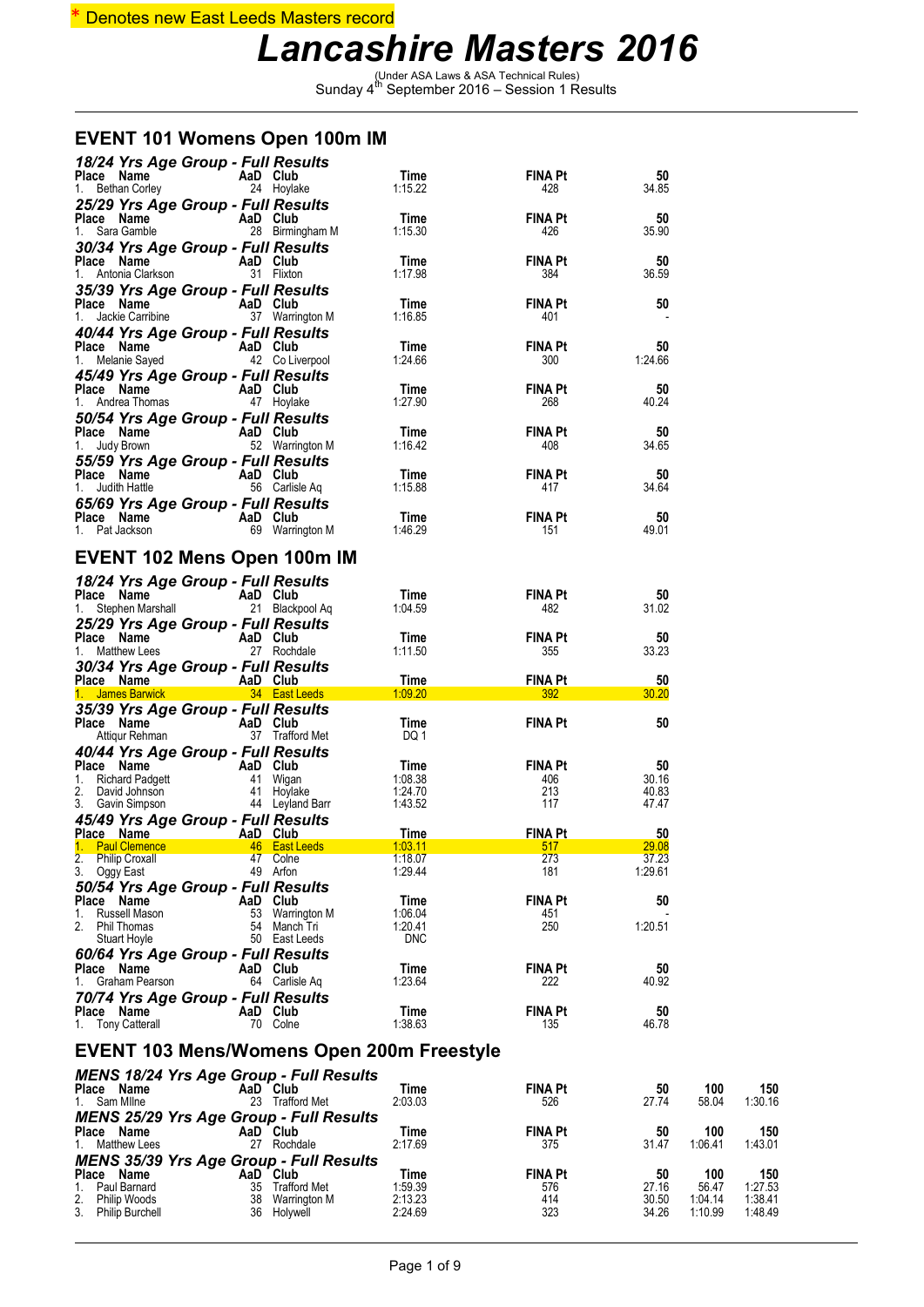#### \* Denotes new East Leeds Masters record

### *Lancashire Masters 2016*

(Under ASA Laws & ASA Technical Rules) Sunday 4th September 2016 – Session 1 Results

#### **EVENT 101 Womens Open 100m IM**

| 18/24 Yrs Age Group - Full Results<br><b>Place Name</b><br>1. Bethan Corley<br>1. Bethan Corley<br>1. Bethan Corley                                                                                                                                  |          |                               | Time<br>1:15.22            | <b>FINA Pt</b><br>428        | 50<br>34.85          |                |                |
|------------------------------------------------------------------------------------------------------------------------------------------------------------------------------------------------------------------------------------------------------|----------|-------------------------------|----------------------------|------------------------------|----------------------|----------------|----------------|
| 25/29 Yrs Age Group - Full Results<br>Place Name<br>AaD Club<br>28 Birmin<br>1. Sara Gamble                                                                                                                                                          |          | 28 Birmingham M               | Time<br>1:15.30            | FINA Pt<br>426               | 50<br>35.90          |                |                |
| 30/34 Yrs Age Group - Full Results<br>Place Name<br>AaD Club<br>31 Flixton<br>1. Antonia Clarkson                                                                                                                                                    |          |                               | Time<br>1:17.98            | FINA Pt<br>384               | 50<br>36.59          |                |                |
| 35/39 Yrs Age Group - Full Results<br>Place Name (1997)<br>1. Jackie Carribine (1997)<br>1. Jackie Carribine (1997)<br>1. Jackie Carribine (1997)                                                                                                    |          |                               | Time<br>1:16.85            | <b>FINA Pt</b><br>401        | 50                   |                |                |
| 40/44 Yrs Age Group - Full Results<br>riace Name<br>1. Melanie Sayed<br>1. Melanie Sayed 42 Colive                                                                                                                                                   |          | 42 Co Liverpool               | Time<br>1:24.66            | <b>FINA Pt</b><br>300        | 50<br>1:24.66        |                |                |
| 45/49 Yrs Age Group - Full Results<br>Place Name<br>AaD Club<br>47 Hoylake<br>1. Andrea Thomas                                                                                                                                                       |          |                               | Time<br>1:27.90            | FINA Pt<br>268               | 50<br>40.24          |                |                |
| 50/54 Yrs Age Group - Full Results<br>Place Name <b>AaD</b> Club<br>1. Judy Brown 52 Warrington M                                                                                                                                                    |          |                               | Time<br>1:16.42            | FINA Pt<br>408               | 50<br>34.65          |                |                |
| 55/59 Yrs Age Group - Full Results<br>Place Name<br>$\overline{AB}$ Club<br>56 Carlisle Aq<br>1. Judith Hattle                                                                                                                                       |          |                               | Time<br>1:15.88            | <b>FINA Pt</b><br>417        | 50<br>34.64          |                |                |
| 65/69 Yrs Age Group - Full Results<br><b>Place Name</b><br>1. Pat Jackson                                                                                                                                                                            | AaD Club | 69 Warrington M               | Time<br>1:46.29            | <b>FINA Pt</b><br>151        | 50<br>49.01          |                |                |
| <b>EVENT 102 Mens Open 100m IM</b>                                                                                                                                                                                                                   |          |                               |                            |                              |                      |                |                |
| 18/24 Yrs Age Group - Full Results<br>Place Name                                                                                                                                                                                                     | AaD Club |                               | Time<br>1:04.59            | <b>FINA Pt</b><br>482        | 50<br>31.02          |                |                |
| 25/29 Yrs Age Group - Full Results<br>Place Name<br>1. Matthew Lees<br>27 Rochd                                                                                                                                                                      |          | 27 Rochdale                   | Time<br>1:11.50            | <b>FINA Pt</b><br>355        | 50<br>33.23          |                |                |
| 30/34 Yrs Age Group - Full Results<br>Place Name (AaD Club)<br>1. James Barwick (34 East Leeds)                                                                                                                                                      |          |                               | Time<br>1:09.20            | <b>FINA Pt</b><br>392        | 50<br>30.20          |                |                |
| 35/39 Yrs Age Group - Full Results<br>Place Name<br>$\begin{array}{ccc}\n\bullet & \bullet & \bullet & \bullet \\ \bullet & \bullet & \bullet & \bullet & \bullet \\ \bullet & \bullet & \bullet & \bullet & \bullet\n\end{array}$<br>Attiqur Rehman |          |                               | Time<br>DQ 1               | <b>FINA Pt</b>               | 50                   |                |                |
| 40/44 Yrs Age Group - Full Results<br><b>Place Name AaD Club</b><br>1. Richard Padgett<br>2. David Johnson 41 Hoylake<br>3. Gavin Simpson 44 Leyland Barr                                                                                            |          |                               | Time<br>1:08.38<br>1:24.70 | <b>FINA Pt</b><br>406<br>213 | 50<br>30.16<br>40.83 |                |                |
| 45/49 Yrs Age Group - Full Results                                                                                                                                                                                                                   |          |                               | 1:43.52                    | 117                          | 47.47                |                |                |
| Place Name <b>AaD</b> Club<br>1. Paul Clemence 46 East Leeds                                                                                                                                                                                         |          |                               | Time<br>1:03.11            | <b>FINA Pt</b><br>517        | 50<br>29.08          |                |                |
| 2.<br><b>Philip Croxall</b>                                                                                                                                                                                                                          |          | 47 Colne                      | 1:18.07                    | 273                          | 37.23                |                |                |
| 3.<br>Oggy East<br>50/54 Yrs Age Group - Full Results                                                                                                                                                                                                |          | 49 Arfon                      | 1:29.44                    | 181                          | 1:29.61              |                |                |
| Place Name<br>Russell Mason<br>1.                                                                                                                                                                                                                    | AaD Club | 53 Warrington M               | Time<br>1:06.04            | FINA Pt<br>451               | 50                   |                |                |
| 2.<br>Phil Thomas<br>Stuart Hoyle                                                                                                                                                                                                                    |          | 54 Manch Tri<br>50 East Leeds | 1:20.41<br><b>DNC</b>      | 250                          | 1:20.51              |                |                |
| 60/64 Yrs Age Group - Full Results<br>Place Name<br>1.<br>Graham Pearson                                                                                                                                                                             | AaD Club | 64 Carlisle Aq                | Time<br>1:23.64            | <b>FINA Pt</b><br>222        | 50<br>40.92          |                |                |
| 70/74 Yrs Age Group - Full Results<br>Place Name<br>1. Tony Catterall                                                                                                                                                                                | AaD Club | 70 Colne                      | Time<br>1:38.63            | <b>FINA Pt</b><br>135        | 50<br>46.78          |                |                |
| EVENT 103 Mens/Womens Open 200m Freestyle                                                                                                                                                                                                            |          |                               |                            |                              |                      |                |                |
| <b>MENS 18/24 Yrs Age Group - Full Results</b>                                                                                                                                                                                                       |          |                               |                            |                              |                      |                |                |
| Place Name<br>1. Sam Milne                                                                                                                                                                                                                           | AaD Club | 23 Trafford Met               | Time<br>2:03.03            | <b>FINA Pt</b><br>526        | 50<br>27.74          | 100<br>58.04   | 150<br>1:30.16 |
| <b>MENS 25/29 Yrs Age Group - Full Results</b><br>Place Name<br><b>Matthew Lees</b><br>1.                                                                                                                                                            | AaD Club | 27 Rochdale                   | Time<br>2:17.69            | FINA Pt<br>375               | 50<br>31.47          | 100<br>1:06.41 | 150<br>1:43.01 |
| <b>MENS 35/39 Yrs Age Group - Full Results</b><br>Place Name                                                                                                                                                                                         |          |                               |                            |                              |                      |                |                |
| Paul Barnard<br>1.                                                                                                                                                                                                                                   | AaD Club |                               | Time                       | <b>FINA Pt</b>               | 50                   | 100            | 150            |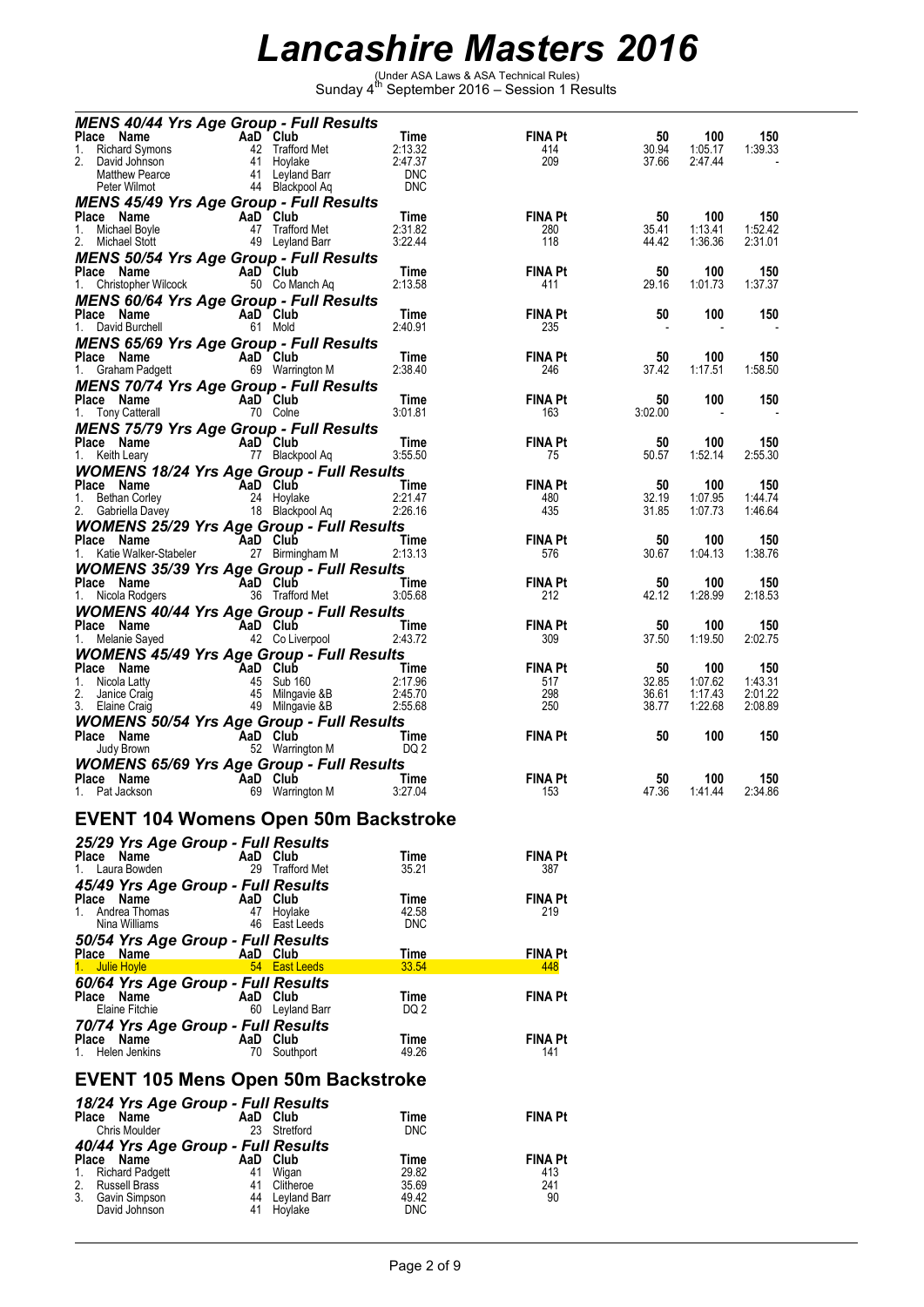(Under ASA Laws & ASA Technical Rules) Sunday 4th September 2016 – Session 1 Results

| <b>MENS 40/44 Yrs Age Group - Full Results</b>                                                                                                                                                                                                                                                                                                  |          |                                                  |                       |                       |             |                |                |
|-------------------------------------------------------------------------------------------------------------------------------------------------------------------------------------------------------------------------------------------------------------------------------------------------------------------------------------------------|----------|--------------------------------------------------|-----------------------|-----------------------|-------------|----------------|----------------|
| Place Name                                                                                                                                                                                                                                                                                                                                      |          | AaD Club<br>42 Trafford Met<br>41 Hoylake        | Time                  | <b>FINA Pt</b>        | 50          | 100            | 150            |
| 1. Richard Symons<br>2. David Johnson                                                                                                                                                                                                                                                                                                           |          |                                                  | 2:13.32               | 414                   | 30.94       | 1:05.17        | 1:39.33        |
| 2. David Johnson                                                                                                                                                                                                                                                                                                                                |          | 41 Hoylake<br>41 Leyland Barr<br>44 BL           | 2:47.37<br><b>DNC</b> | 209                   | 37.66       | 2:47.44        |                |
| Matthew Pearce<br>Peter Wilmot                                                                                                                                                                                                                                                                                                                  |          | 44 Blackpool Aq                                  | <b>DNC</b>            |                       |             |                |                |
|                                                                                                                                                                                                                                                                                                                                                 |          |                                                  |                       |                       |             |                |                |
| <b>MENS 45/49 Yrs Age Group - Full Results</b><br>Place Name                                                                                                                                                                                                                                                                                    | AaD Club |                                                  | Time                  | <b>FINA Pt</b>        | 50          | 100            | 150            |
| 1.<br>Michael Boyle                                                                                                                                                                                                                                                                                                                             |          | 47 Trafford Met                                  | 2:31.82               | 280                   | 35.41       | 1:13.41        | 1:52.42        |
| 2. Michael Stott                                                                                                                                                                                                                                                                                                                                |          | 49 Leyland Barr                                  | 3:22.44               | 118                   | 44.42       | 1:36.36        | 2:31.01        |
| <b>MENS 50/54 Yrs Age Group - Full Results</b>                                                                                                                                                                                                                                                                                                  |          |                                                  |                       |                       |             |                |                |
| Place Name<br>AaD Club                                                                                                                                                                                                                                                                                                                          |          |                                                  | Time                  | <b>FINA Pt</b>        | 50          | 100            | 150            |
| 1. Christopher Wilcock                                                                                                                                                                                                                                                                                                                          |          | 50 Co Manch Aq                                   | 2:13.58               | 411                   | 29.16       | 1:01.73        | 1:37.37        |
| <b>MENS 60/64 Yrs Age Group - Full Results</b>                                                                                                                                                                                                                                                                                                  |          |                                                  |                       |                       |             |                |                |
| Place Name                                                                                                                                                                                                                                                                                                                                      |          | AaD Club                                         | Time                  | <b>FINA Pt</b>        | 50          | 100            | 150            |
| 1. David Burchell                                                                                                                                                                                                                                                                                                                               |          | 61 Mold                                          | 2:40.91               | 235                   |             |                |                |
| <b>MENS 65/69 Yrs Age Group - Full Results</b>                                                                                                                                                                                                                                                                                                  |          |                                                  |                       |                       |             |                |                |
| Place Name                                                                                                                                                                                                                                                                                                                                      |          | AaD Club                                         | Time                  | <b>FINA Pt</b>        | 50          | 100            | 150            |
| 1. Graham Padgett                                                                                                                                                                                                                                                                                                                               |          | 69 Warrington M                                  | 2:38.40               | 246                   | 37.42       | 1:17.51        | 1:58.50        |
|                                                                                                                                                                                                                                                                                                                                                 |          |                                                  |                       |                       |             |                |                |
| <b>MENS 70/74 Yrs Age Group - Full Results</b><br>$\frac{1}{2}$ and $\frac{1}{2}$ and $\frac{1}{2}$ and $\frac{1}{2}$ and $\frac{1}{2}$ and $\frac{1}{2}$ and $\frac{1}{2}$ and $\frac{1}{2}$ and $\frac{1}{2}$ and $\frac{1}{2}$ and $\frac{1}{2}$ and $\frac{1}{2}$ and $\frac{1}{2}$ and $\frac{1}{2}$ and $\frac{1}{2}$ and $\frac{1}{2}$ a |          |                                                  | Time                  | FINA Pt               | 50          | 100            | 150            |
|                                                                                                                                                                                                                                                                                                                                                 |          |                                                  | 3:01.81               | 163                   | 3:02.00     |                |                |
|                                                                                                                                                                                                                                                                                                                                                 |          |                                                  |                       |                       |             |                |                |
| <b>MENS 75/79 Yrs Age Group - Full Results</b><br>Place Name                                                                                                                                                                                                                                                                                    |          | AaD Club                                         | Time                  | <b>FINA Pt</b>        | 50          | 100            | 150            |
| and the sea<br>1. Keith Leary                                                                                                                                                                                                                                                                                                                   |          | 77 Blackpool Aq                                  | 3:55.50               | 75                    | 50.57       | 1:52.14        | 2:55.30        |
|                                                                                                                                                                                                                                                                                                                                                 |          |                                                  |                       |                       |             |                |                |
| <b>WOMENS 18/24 Yrs Age Group - Full Results</b><br>Place Name                                                                                                                                                                                                                                                                                  | AaD Club |                                                  |                       | <b>FINA Pt</b>        |             | 100            |                |
| 1.<br>Bethan Corley                                                                                                                                                                                                                                                                                                                             |          | 24 Hoylake                                       | Time<br>2:21.47       | 480                   | 50<br>32.19 | 1:07.95        | 150<br>1:44.74 |
| 2. Gabriella Davey                                                                                                                                                                                                                                                                                                                              |          | 18 Blackpool Aq                                  | 2:26.16               | 435                   | 31.85       | 1:07.73        | 1:46.64        |
| <b>WOMENS 25/29 Yrs Age Group - Full Results</b>                                                                                                                                                                                                                                                                                                |          |                                                  |                       |                       |             |                |                |
| Place Name                                                                                                                                                                                                                                                                                                                                      | AaD Club |                                                  | Time                  | <b>FINA Pt</b>        | 50          | 100            | 150            |
| 1. Katie Walker-Stabeler                                                                                                                                                                                                                                                                                                                        |          | 27 Birmingham M                                  | 2:13.13               | 576                   | 30.67       | 1:04.13        | 1:38.76        |
|                                                                                                                                                                                                                                                                                                                                                 |          |                                                  |                       |                       |             |                |                |
| <b>WOMENS 35/39 Yrs Age Group - Full Results</b>                                                                                                                                                                                                                                                                                                |          |                                                  | Time                  | FINA Pt               | 50          | 100            | 150            |
|                                                                                                                                                                                                                                                                                                                                                 |          | 36 Trafford Met                                  | 3:05.68               | 212                   | 42.12       | 1:28.99        | 2:18.53        |
| aue Name<br>1. Nicola Rodgers<br>1. Nicola Rodgers<br>1. Nicola Theory                                                                                                                                                                                                                                                                          |          |                                                  |                       |                       |             |                |                |
| <b>WOMENS 40/44 Yrs Age Group - Full Results</b>                                                                                                                                                                                                                                                                                                |          |                                                  |                       |                       |             |                |                |
| <b>Example 2</b> AaD Club<br>Place Name                                                                                                                                                                                                                                                                                                         |          | 42 Co Liverpool                                  | Time<br>2:43.72       | <b>FINA Pt</b><br>309 | 50<br>37.50 | 100<br>1:19.50 | 150<br>2:02.75 |
| 1. Melanie Sayed                                                                                                                                                                                                                                                                                                                                |          |                                                  |                       |                       |             |                |                |
| <b>WOMENS 45/49 Yrs Age Group - Full Results</b>                                                                                                                                                                                                                                                                                                |          |                                                  |                       |                       |             |                |                |
| Place Name<br>1.                                                                                                                                                                                                                                                                                                                                | AaD Club |                                                  | Time<br>2:17.96       | <b>FINA Pt</b><br>517 | 50<br>32.85 | 100<br>1:07.62 | 150<br>1:43.31 |
| Nicola Latty<br>2.<br>Janice Craig                                                                                                                                                                                                                                                                                                              |          |                                                  | 2:45.70               | 298                   | 36.61       | 1:17.43        | 2:01.22        |
| 3. Elaine Craig                                                                                                                                                                                                                                                                                                                                 |          | 45 Sub 160<br>45 Milngavie &B<br>49 Milngavie &B | 2:55.68               | 250                   | 38.77       | 1:22.68        | 2:08.89        |
| <b>WOMENS 50/54 Yrs Age Group - Full Results</b>                                                                                                                                                                                                                                                                                                |          |                                                  |                       |                       |             |                |                |
| <b>Example 2</b> AaD Club<br>Place Name                                                                                                                                                                                                                                                                                                         |          |                                                  | Time                  | <b>FINA Pt</b>        | 50          | 100            | 150            |
| Judy Brown                                                                                                                                                                                                                                                                                                                                      |          | 52 Warrington M                                  | DQ 2                  |                       |             |                |                |
| <b>WOMENS 65/69 Yrs Age Group - Full Results</b>                                                                                                                                                                                                                                                                                                |          |                                                  |                       |                       |             |                |                |
| Place Name                                                                                                                                                                                                                                                                                                                                      |          |                                                  | Time                  | FINA Pt               | 50          | 100            | 150            |
| AaD Club<br>69 Warrin<br>1. Pat Jackson                                                                                                                                                                                                                                                                                                         |          | 69 Warrington M                                  | 3:27.04               | 153                   | 47.36       | 1:41.44        | 2:34.86        |
|                                                                                                                                                                                                                                                                                                                                                 |          |                                                  |                       |                       |             |                |                |
| <b>EVENT 104 Womens Open 50m Backstroke</b>                                                                                                                                                                                                                                                                                                     |          |                                                  |                       |                       |             |                |                |
|                                                                                                                                                                                                                                                                                                                                                 |          |                                                  |                       |                       |             |                |                |
| 25/29 Yrs Age Group - Full Results                                                                                                                                                                                                                                                                                                              |          |                                                  |                       |                       |             |                |                |
| Place Name<br>1. Laura Bowden                                                                                                                                                                                                                                                                                                                   |          | AaD Club<br>29 Trafford Met                      | Time<br>35.21         | <b>FINA Pt</b><br>387 |             |                |                |
|                                                                                                                                                                                                                                                                                                                                                 |          |                                                  |                       |                       |             |                |                |
| 45/49 Yrs Age Group - Full Results                                                                                                                                                                                                                                                                                                              |          |                                                  |                       |                       |             |                |                |
| Place Name                                                                                                                                                                                                                                                                                                                                      |          | AaD Club                                         | Time                  | FINA Pt               |             |                |                |
| 1. Andrea Thomas<br>Nina Williams                                                                                                                                                                                                                                                                                                               |          | 47 Hoylake<br>46 East Leeds                      | 42.58<br><b>DNC</b>   | 219                   |             |                |                |
|                                                                                                                                                                                                                                                                                                                                                 |          |                                                  |                       |                       |             |                |                |
| 50/54 Yrs Age Group - Full Results<br>Place Name                                                                                                                                                                                                                                                                                                |          |                                                  |                       |                       |             |                |                |
| Julie Hoyle                                                                                                                                                                                                                                                                                                                                     |          | AaD Club                                         | Time                  | FINA Pt<br>448        |             |                |                |
|                                                                                                                                                                                                                                                                                                                                                 |          |                                                  |                       |                       |             |                |                |
|                                                                                                                                                                                                                                                                                                                                                 |          | 54 East Leeds                                    | 33.54                 |                       |             |                |                |
| 60/64 Yrs Age Group - Full Results                                                                                                                                                                                                                                                                                                              |          |                                                  |                       |                       |             |                |                |
| Place Name                                                                                                                                                                                                                                                                                                                                      |          | AaD Club                                         | Time                  | <b>FINA Pt</b>        |             |                |                |
| Elaine Fitchie                                                                                                                                                                                                                                                                                                                                  |          | 60 Leyland Barr                                  | DQ 2                  |                       |             |                |                |
| 70/74 Yrs Age Group - Full Results                                                                                                                                                                                                                                                                                                              |          |                                                  |                       |                       |             |                |                |
| Place Name                                                                                                                                                                                                                                                                                                                                      |          | AaD Club                                         | Time                  | FINA Pt               |             |                |                |
| 1. Helen Jenkins                                                                                                                                                                                                                                                                                                                                |          | 70 Southport                                     | 49.26                 | 141                   |             |                |                |
|                                                                                                                                                                                                                                                                                                                                                 |          |                                                  |                       |                       |             |                |                |
| <b>EVENT 105 Mens Open 50m Backstroke</b>                                                                                                                                                                                                                                                                                                       |          |                                                  |                       |                       |             |                |                |
| 18/24 Yrs Age Group - Full Results                                                                                                                                                                                                                                                                                                              |          |                                                  |                       |                       |             |                |                |
| Place Name                                                                                                                                                                                                                                                                                                                                      |          | AaD Club                                         | Time                  | <b>FINA Pt</b>        |             |                |                |
| Chris Moulder                                                                                                                                                                                                                                                                                                                                   |          | 23 Stretford                                     | <b>DNC</b>            |                       |             |                |                |
| 40/44 Yrs Age Group - Full Results                                                                                                                                                                                                                                                                                                              |          |                                                  |                       |                       |             |                |                |
| Place Name                                                                                                                                                                                                                                                                                                                                      | AaD      | Club                                             | Time                  | FINA Pt               |             |                |                |
| <b>Richard Padgett</b><br>1.                                                                                                                                                                                                                                                                                                                    | 41       | Wigan                                            | 29.82                 | 413                   |             |                |                |
| <b>Russell Brass</b><br>2.                                                                                                                                                                                                                                                                                                                      | 41       | Clitheroe                                        | 35.69                 | 241                   |             |                |                |
| 3.<br>Gavin Simpson<br>David Johnson                                                                                                                                                                                                                                                                                                            | 44<br>41 | Leyland Barr<br>Hoylake                          | 49.42<br><b>DNC</b>   | 90                    |             |                |                |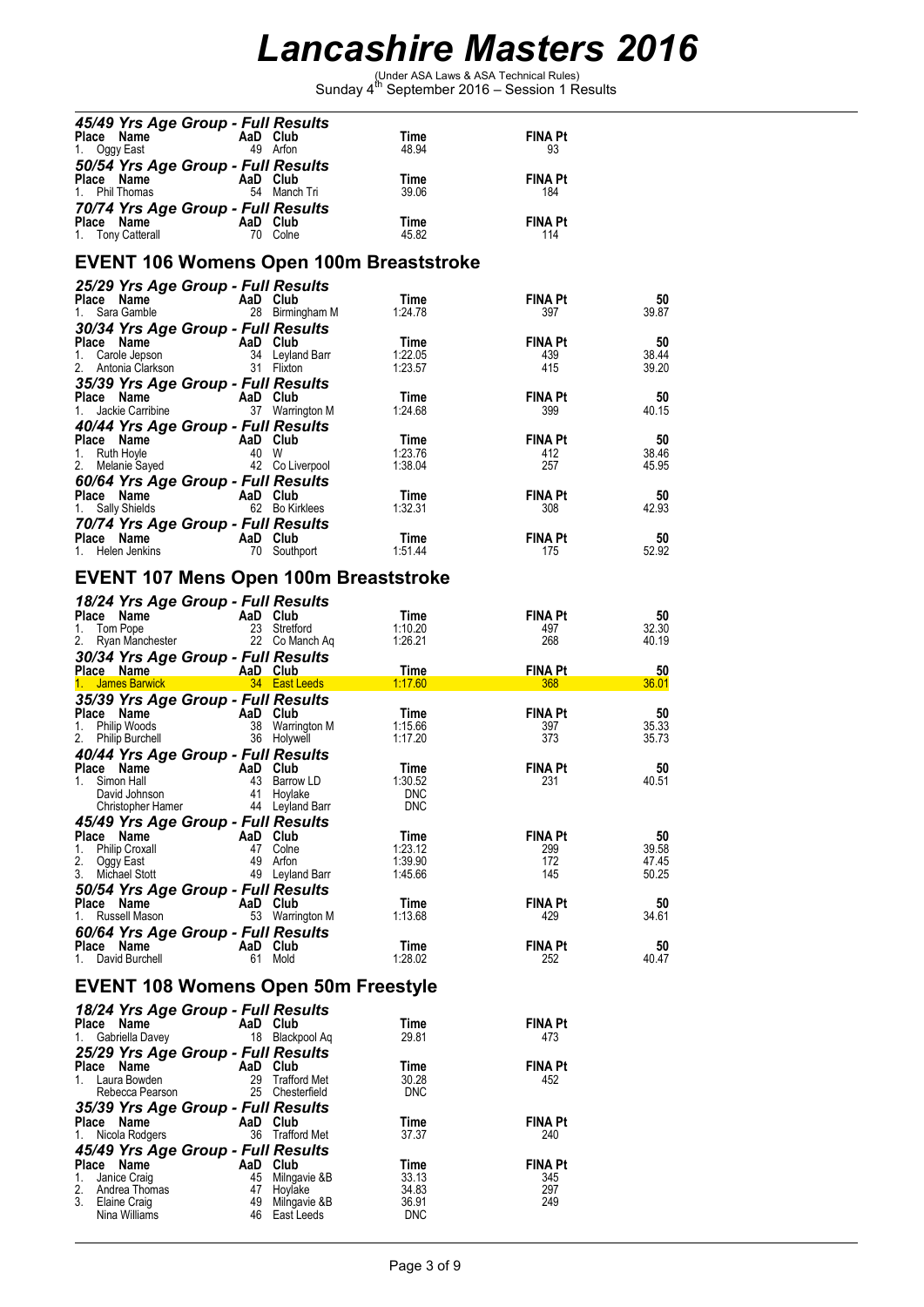(Under ASA Laws & ASA Technical Rules) Sunday 4th September 2016 – Session 1 Results

| 45/49 Yrs Age Group - Full Results<br>Place Name<br>Oggy East<br>1.                                      | AaD Club          | 49 Arfon                         | Time<br>48.94       | FINA Pt<br>93         |                |
|----------------------------------------------------------------------------------------------------------|-------------------|----------------------------------|---------------------|-----------------------|----------------|
| 50/54 Yrs Age Group - Full Results<br>Place Name<br>1. Phil Thomas                                       | AaD Club          | 54 Manch Tri                     | Time<br>39.06       | <b>FINA Pt</b><br>184 |                |
| 70/74 Yrs Age Group - Full Results<br><b>Prace Name</b><br>1. Tony Catterall <b>AaD</b> Club<br>70 Colne |                   |                                  | Time<br>45.82       | <b>FINA Pt</b><br>114 |                |
| <b>EVENT 106 Womens Open 100m Breaststroke</b>                                                           |                   |                                  |                     |                       |                |
| 25/29 Yrs Age Group - Full Results                                                                       |                   |                                  |                     |                       |                |
| Place Name<br>1. Sara Gamble                                                                             | AaD Club          | 28 Birmingham M                  | Time<br>1:24.78     | <b>FINA Pt</b><br>397 | 50<br>39.87    |
| 30/34 Yrs Age Group - Full Results                                                                       |                   |                                  |                     |                       |                |
| Place Name<br>1.<br>Carole Jepson                                                                        | AaD Club          | 34 Leyland Barr                  | Time<br>1:22.05     | <b>FINA Pt</b><br>439 | 50<br>38.44    |
| 2.<br>Antonia Clarkson                                                                                   |                   | 31 Flixton                       | 1:23.57             | 415                   | 39.20          |
| 35/39 Yrs Age Group - Full Results<br>Place Name                                                         | AaD Club          |                                  | Time                | <b>FINA Pt</b>        | 50             |
| 1.<br>Jackie Carribine                                                                                   |                   | 37 Warrington M                  | 1:24.68             | 399                   | 40.15          |
| 40/44 Yrs Age Group - Full Results                                                                       |                   |                                  |                     |                       |                |
| Place Name<br>1. Ruth Hoyle                                                                              | AaD Club<br>40 W  |                                  | Time<br>1:23.76     | <b>FINA Pt</b><br>412 | 50<br>38.46    |
| 2. Melanie Sayed                                                                                         |                   | 42 Co Liverpool                  | 1:38.04             | 257                   | 45.95          |
| 60/64 Yrs Age Group - Full Results<br>Place Name<br>Sally Shields<br>1.                                  | AaD Club          | 62 Bo Kirklees                   | Time<br>1:32.31     | <b>FINA Pt</b><br>308 | 50<br>42.93    |
| 70/74 Yrs Age Group - Full Results                                                                       |                   |                                  |                     |                       |                |
| <b>Place Name</b><br>1 Helen Jenkins <b>COMP</b> 70 South<br>1. Helen Jenkins                            |                   | 70 Southport                     | Time<br>1:51.44     | FINA Pt<br>175        | 50<br>52.92    |
| <b>EVENT 107 Mens Open 100m Breaststroke</b>                                                             |                   |                                  |                     |                       |                |
| 18/24 Yrs Age Group - Full Results                                                                       |                   |                                  |                     |                       |                |
| Place Name                                                                                               | AaD Club          |                                  | Time                | FINA Pt               | 50             |
| 1. Tom Pope<br>2. Ryan Manchester                                                                        |                   | 23 Stretford<br>22 Co Manch Ag   | 1:10.20<br>1:26.21  | 497<br>268            | 32.30<br>40.19 |
| 30/34 Yrs Age Group - Full Results                                                                       |                   |                                  |                     |                       |                |
| Place Name                                                                                               | <b>AaD Club</b>   |                                  | Time                | <b>FINA Pt</b>        | 50             |
|                                                                                                          |                   |                                  |                     |                       |                |
| 1. James Barwick<br>35/39 Yrs Age Group - Full Results                                                   | <b>East Leeds</b> |                                  | 1:17.60             | 368                   | 36.01          |
| Place Name                                                                                               | AaD Club          |                                  | Time                | FINA Pt               | 50             |
| 1.<br>Philip Woods<br>2. Philip Burchell                                                                 |                   | 38 Warrington M<br>36 Holywell   | 1:15.66<br>1:17.20  | 397<br>373            | 35.33<br>35.73 |
| 40/44 Yrs Age Group - Full Results                                                                       |                   |                                  |                     |                       |                |
| Place Name<br>1. Simon Hall                                                                              | AaD Club          | 43 Barrow LD                     | Time<br>1:30.52     | <b>FINA Pt</b><br>231 | 50<br>40.51    |
| David Johnson                                                                                            |                   | 41 Hoylake                       | <b>DNC</b>          |                       |                |
| Christopher Hamer<br>45/49 Yrs Age Group - Full Results                                                  |                   | 44 Leyland Barr                  | <b>DNC</b>          |                       |                |
| Place Name                                                                                               | AaD Club          |                                  | Time                | <b>FINA Pt</b>        | 50             |
| <b>Philip Croxall</b><br>1.<br>2.<br>Oggy East                                                           |                   | 47 Colne<br>49 Arfon             | 1:23.12<br>1:39.90  | 299<br>172            | 39.58<br>47.45 |
| 3.<br>Michael Stott                                                                                      |                   | 49 Leyland Barr                  | 1:45.66             | 145                   | 50.25          |
| 50/54 Yrs Age Group - Full Results<br>Place Name                                                         | AaD Club          |                                  | Time                | FINA Pt               | 50             |
| Russell Mason<br>1.                                                                                      |                   | 53 Warrington M                  | 1:13.68             | 429                   | 34.61          |
| 60/64 Yrs Age Group - Full Results<br>Place Name                                                         | AaD Club          |                                  | Time                | <b>FINA Pt</b>        | 50             |
| 1. David Burchell                                                                                        |                   | 61 Mold                          | 1:28.02             | 252                   | 40.47          |
| <b>EVENT 108 Womens Open 50m Freestyle</b>                                                               |                   |                                  |                     |                       |                |
| 18/24 Yrs Age Group - Full Results                                                                       |                   |                                  |                     |                       |                |
| Place Name                                                                                               | AaD Club          |                                  | Time                | FINA Pt               |                |
| 1.<br>Gabriella Davey                                                                                    |                   | 18 Blackpool Aq                  | 29.81               | 473                   |                |
| 25/29 Yrs Age Group - Full Results<br>Place Name                                                         | AaD Club          |                                  | Time                | FINA Pt               |                |
| 1. Laura Bowden<br>Rebecca Pearson                                                                       | 29                | Trafford Met<br>25 Chesterfield  | 30.28<br><b>DNC</b> | 452                   |                |
| 35/39 Yrs Age Group - Full Results                                                                       |                   |                                  |                     |                       |                |
| Place Name<br>1.<br>Nicola Rodgers                                                                       | AaD Club          | 36 Trafford Met                  | Time<br>37.37       | FINA Pt<br>240        |                |
| 45/49 Yrs Age Group - Full Results                                                                       |                   |                                  |                     |                       |                |
| Place Name<br>1.                                                                                         | AaD Club          |                                  | Time<br>33.13       | FINA Pt<br>345        |                |
| Janice Craig<br>2.<br>Andrea Thomas                                                                      |                   | 45 Milngavie & B<br>47 Hoylake   | 34.83               | 297                   |                |
| 3.<br>Elaine Craig<br>Nina Williams                                                                      |                   | 49 Milngavie &B<br>46 East Leeds | 36.91<br><b>DNC</b> | 249                   |                |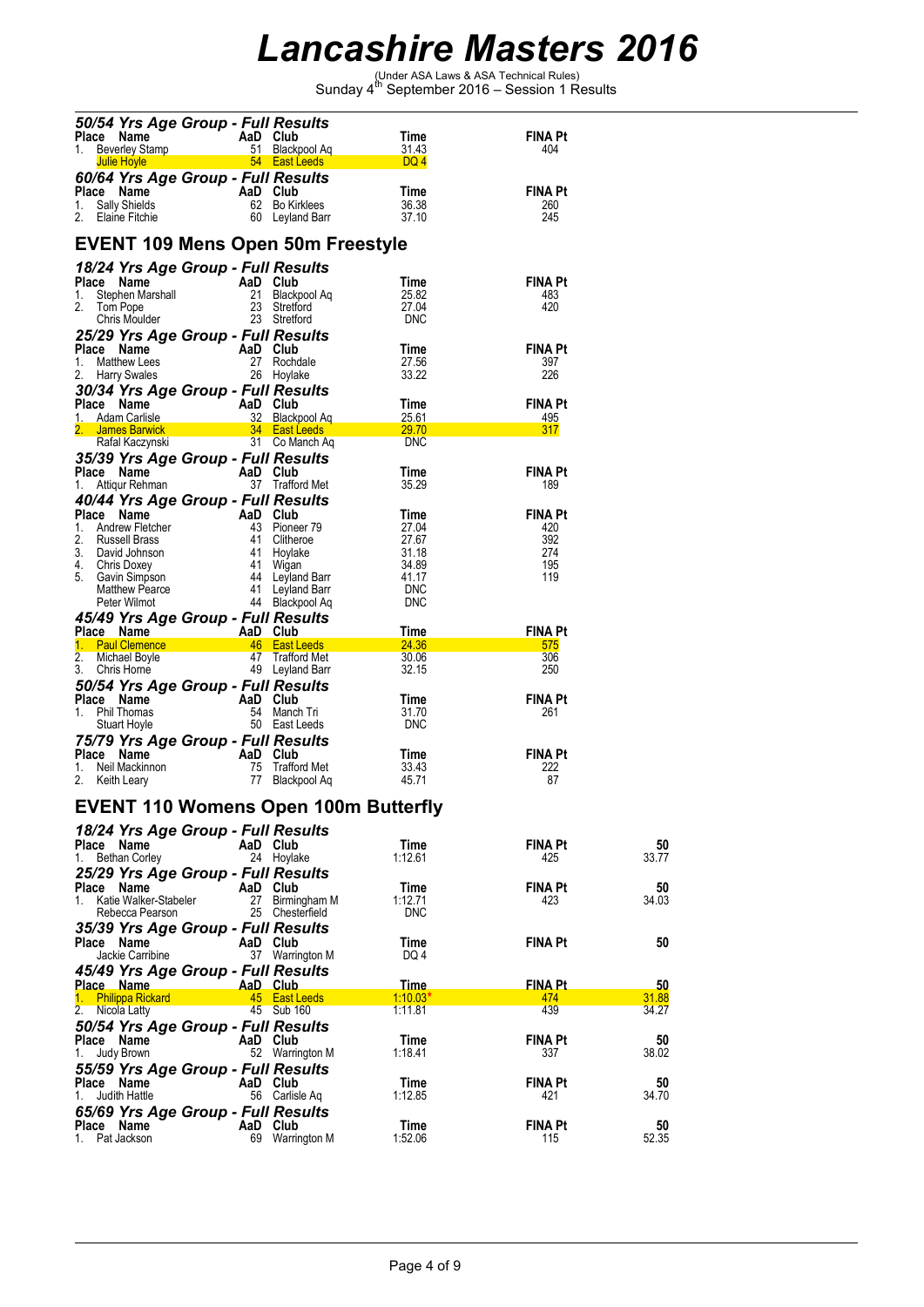(Under ASA Laws & ASA Technical Rules) Sunday 4th September 2016 – Session 1 Results

|          | Place Name<br><b>Beverley Stamp</b><br><b>Julie Hoyle</b> | AaD Club<br><u><b>Example 2016 54 East Leeds</b></u>                                 | 51 Blackpool Aq                                       | Time<br>31.43<br>DQ 4                       | FINA Pt<br>404        |             |
|----------|-----------------------------------------------------------|--------------------------------------------------------------------------------------|-------------------------------------------------------|---------------------------------------------|-----------------------|-------------|
|          | Place Name                                                | 60/64 Yrs Age Group - Full Results<br>AaD Club                                       |                                                       | Time                                        | FINA Pt               |             |
| 1.       | Sally Shields<br>2. Elaine Fitchie                        |                                                                                      | 62 Bo Kirklees<br>60 Leyland Barr                     | 36.38<br>37.10                              | 260<br>245            |             |
|          |                                                           | <b>EVENT 109 Mens Open 50m Freestyle</b>                                             |                                                       |                                             |                       |             |
|          | Place Name                                                | 18/24 Yrs Age Group - Full Results                                                   |                                                       |                                             |                       |             |
| 1.       |                                                           |                                                                                      |                                                       | Time<br>25.82                               | <b>FINA Pt</b><br>483 |             |
| 2.       |                                                           | Company of the Marshall<br>Stephen Marshall<br>Tom Pope 23 Stratford<br>23 Stratford | 23 Stretford<br>23 Stretford                          | 27.04                                       | 420                   |             |
|          | Chris Moulder                                             |                                                                                      |                                                       | <b>DNC</b>                                  |                       |             |
|          |                                                           | 25/29 Yrs Age Group - Full Results                                                   |                                                       | Time                                        | <b>FINA Pt</b>        |             |
| 1.       | Matthew Lees                                              | Place Name AaD Club                                                                  | 27 Rochdale                                           | 27.56                                       | 397                   |             |
| 2.       | <b>Harry Swales</b>                                       | 26 Hoylake                                                                           |                                                       | 33.22                                       | 226                   |             |
|          |                                                           | 30/34 Yrs Age Group - Full Results                                                   |                                                       |                                             |                       |             |
|          | Place Name<br>1. Adam Carlisle                            | AaD Club                                                                             | 32 Blackpool Aq                                       | Time<br><u> 25.61 </u>                      | FINA Pt<br>495        |             |
|          | 2. James Barwick                                          |                                                                                      | <b>34 East Leeds</b>                                  | 29.70                                       | 317                   |             |
|          | Rafal Kaczynski                                           |                                                                                      | 31 Co Manch Aq                                        | <b>DNC</b>                                  |                       |             |
|          |                                                           | 35/39 Yrs Age Group - Full Results                                                   |                                                       |                                             | <b>FINA Pt</b>        |             |
| 1.       | Place Name<br>Attiqur Rehman                              | AaD Club                                                                             | 37 Trafford Met                                       | Time<br>35.29                               | 189                   |             |
|          |                                                           | 40/44 Yrs Age Group - Full Results                                                   |                                                       |                                             |                       |             |
|          | Place Name                                                |                                                                                      |                                                       | Time                                        | FINA Pt               |             |
| 2.       | 1. Andrew Fletcher<br>Russell Brass                       |                                                                                      |                                                       | 27.04<br>27.67                              | 420<br>392            |             |
|          | 3. David Johnson                                          |                                                                                      |                                                       | 31.18                                       | 274                   |             |
|          | 4. Chris Doxey                                            |                                                                                      |                                                       | 34.89                                       | 195                   |             |
|          | 5. Gavin Simpson<br><b>Matthew Pearce</b>                 |                                                                                      | 44 Leyland Barr<br>41 Levland Barr<br>41 Leyland Barr | 41.17<br><b>DNC</b>                         | 119                   |             |
|          | Peter Wilmot                                              |                                                                                      | 44 Blackpool Aq                                       | <b>DNC</b>                                  |                       |             |
|          |                                                           | 45/49 Yrs Age Group - Full Results                                                   |                                                       |                                             |                       |             |
|          | Place Name                                                | <b>AaD</b> Club                                                                      |                                                       | Time                                        | FINA Pt               |             |
| 2.       | 1. Paul Clemence<br>Michael Boyle                         |                                                                                      | 46 East Leeds<br>47 Trafford Met                      | 24.36<br>30.06                              | 575<br>306            |             |
|          | 3. Chris Horne                                            |                                                                                      | 49 Leyland Barr                                       | 32.15                                       | 250                   |             |
|          |                                                           | 50/54 Yrs Age Group - Full Results                                                   |                                                       |                                             |                       |             |
| 1.       | Place Name<br>Phil Thomas                                 | <b>Example 2 AaD</b> Club                                                            |                                                       | Time<br>31.70                               | <b>FINA Pt</b><br>261 |             |
|          | Stuart Hoyle                                              | $\frac{54}{50}$ Manch Tri                                                            | 50 East Leeds                                         | <b>DNC</b>                                  |                       |             |
|          |                                                           | 75/79 Yrs Age Group - Full Results                                                   |                                                       |                                             |                       |             |
|          | Place Name                                                | AaD Club                                                                             |                                                       | Time                                        | FINA Pt               |             |
| 1.<br>2. | Neil Mackinnon<br>Keith Leary                             | 75                                                                                   | <b>Trafford Met</b><br>77 Blackpool Aq                | 33.43<br>45.71                              | 222<br>87             |             |
|          |                                                           |                                                                                      |                                                       |                                             |                       |             |
|          |                                                           |                                                                                      |                                                       | <b>EVENT 110 Womens Open 100m Butterfly</b> |                       |             |
|          | Place Name                                                | 18/24 Yrs Age Group - Full Results<br>AaD Club                                       |                                                       | Time                                        | FINA Pt               | 50          |
| 1.       | Bethan Corley                                             |                                                                                      | 24 Hoylake                                            | 1:12.61                                     | 425                   | 33.77       |
|          |                                                           | 25/29 Yrs Age Group - Full Results                                                   |                                                       |                                             |                       |             |
|          | Place Name                                                | AaD Club                                                                             |                                                       | Time                                        | <b>FINA Pt</b>        | 50          |
| $1_{-}$  | Katie Walker-Stabeler<br>Rebecca Pearson                  |                                                                                      | 27 Birmingham M<br>25 Chesterfield                    | 1:12.71<br><b>DNC</b>                       | 423                   | 34.03       |
|          |                                                           | 35/39 Yrs Age Group - Full Results                                                   |                                                       |                                             |                       |             |
|          | Place Name                                                | AaD Club                                                                             |                                                       | Time                                        | <b>FINA Pt</b>        | 50          |
|          | Jackie Carribine                                          |                                                                                      | 37 Warrington M                                       | DQ 4                                        |                       |             |
|          |                                                           | 45/49 Yrs Age Group - Full Results                                                   |                                                       |                                             |                       |             |
|          | <b>Place Name</b><br>1. Philippa Rickard                  | AaD Club                                                                             | 45 East Leeds                                         | <u>Time.</u><br><u>1:10.03*</u>             | <b>FINA Pt</b><br>474 | 50<br>31.88 |
| 2.       | Nicola Latty                                              |                                                                                      | 45 Sub 160                                            | 1:11.81                                     | 439                   | 34.27       |
|          |                                                           | 50/54 Yrs Age Group - Full Results                                                   |                                                       |                                             |                       |             |
|          | Place Name                                                | AaD Club                                                                             |                                                       | Time                                        | <b>FINA Pt</b>        | 50          |
| 1.       | Judy Brown                                                |                                                                                      | 52 Warrington M                                       | 1:18.41                                     | 337                   | 38.02       |
|          | Place Name                                                | 55/59 Yrs Age Group - Full Results<br>AaD Club                                       |                                                       | Time                                        | <b>FINA Pt</b>        | 50          |
| 1.       | Judith Hattle                                             |                                                                                      | 56 Carlisle Aq                                        | 1:12.85                                     | 421                   | 34.70       |
|          |                                                           | 65/69 Yrs Age Group - Full Results                                                   |                                                       |                                             |                       |             |
|          | Place Name                                                | AaD Club                                                                             |                                                       | Time                                        | <b>FINA Pt</b>        | 50          |
|          | 1. Pat Jackson                                            |                                                                                      | 69 Warrington M                                       | 1:52.06                                     | 115                   | 52.35       |

*50/54 Yrs Age Group - Full Results*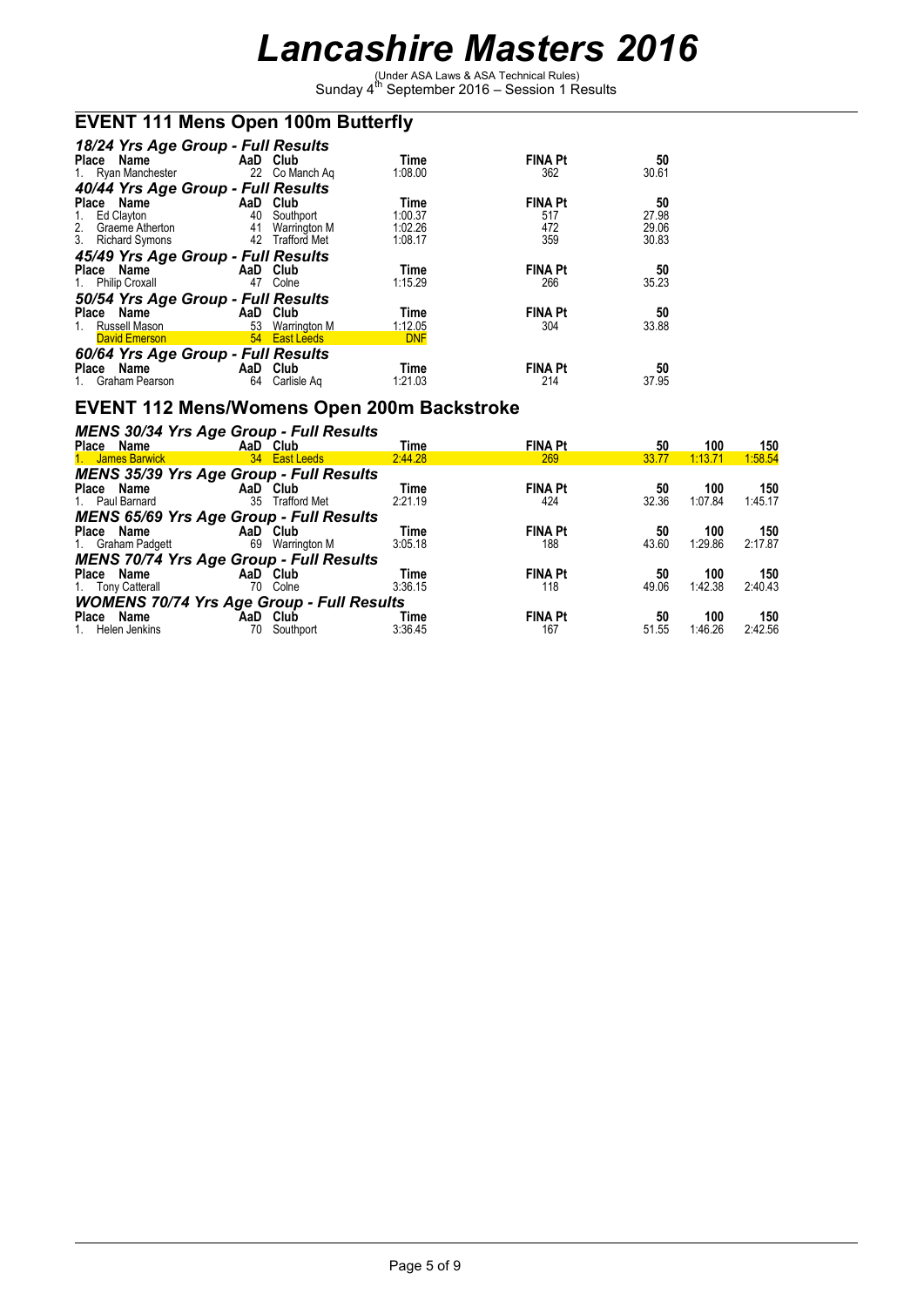(Under ASA Laws & ASA Technical Rules) Sunday 4th September 2016 – Session 1 Results

#### **EVENT 111 Mens Open 100m Butterfly**

| 18/24 Yrs Age Group - Full Results<br>AaD Club<br>Place Name                  |          |                                  | Time<br>1:08.00       | <b>FINA Pt</b><br>362 | 50<br>30.61 |
|-------------------------------------------------------------------------------|----------|----------------------------------|-----------------------|-----------------------|-------------|
| 1. Ryan Manchester 22 Co Manch Ag                                             |          |                                  |                       |                       |             |
| 40/44 Yrs Age Group - Full Results                                            |          |                                  |                       |                       |             |
| Place Name                                                                    | AaD Club |                                  | Time                  | <b>FINA Pt</b>        | 50          |
| Ed Clayton<br>1.                                                              |          | 40 Southport                     | 1:00.37               | 517                   | 27.98       |
| 2. Graeme Atherton                                                            |          | 41 Warrington M                  | 1:02.26               | 472                   | 29.06       |
| 3. Richard Symons                                                             |          | 42 Trafford Met                  | 1:08.17               | 359                   | 30.83       |
| 45/49 Yrs Age Group - Full Results                                            |          |                                  |                       |                       |             |
| Place Name                                                                    | AaD Club |                                  | Time                  | <b>FINA Pt</b>        | 50          |
| 1. Philip Croxall                                                             | 47       | Colne                            | 1:15.29               | 266                   | 35.23       |
| 50/54 Yrs Age Group - Full Results                                            |          |                                  |                       |                       |             |
| Place Name AaD Club                                                           |          |                                  | Time                  |                       |             |
|                                                                               |          |                                  |                       |                       |             |
|                                                                               |          |                                  |                       | <b>FINA Pt</b>        | 50          |
| Russell Mason <b>Example 18</b><br>1.<br><b>David Emerson</b>                 |          | 53 Warrington M<br>54 East Leeds | 1:12.05<br><b>DNF</b> | 304                   | 33.88       |
|                                                                               |          |                                  |                       |                       |             |
| 60/64 Yrs Age Group - Full Results<br><b>Example 2</b> AaD Club<br>Place Name |          |                                  | Time                  | <b>FINA Pt</b>        | 50          |

#### **EVENT 112 Mens/Womens Open 200m Backstroke**

| MENS 30/34 Yrs Age Group - Full Results          |                     |         |                |       |         |         |
|--------------------------------------------------|---------------------|---------|----------------|-------|---------|---------|
| Place Name                                       | AaD Club            | Time    | <b>FINA Pt</b> | 50    | 100     | 150     |
| 1. James Barwick                                 | 34 East Leeds       | 2:44.28 | 269            | 33.77 | 1:13.71 | 1:58.54 |
| <b>MENS 35/39 Yrs Age Group - Full Results</b>   |                     |         |                |       |         |         |
| Place Name                                       | AaD Club            | Time    | <b>FINA Pt</b> | 50    | 100     | 150     |
| 35<br>1. Paul Barnard                            | <b>Trafford Met</b> | 2:21.19 | 424            | 32.36 | 1:07.84 | 1:45.17 |
| <b>MENS 65/69 Yrs Age Group - Full Results</b>   |                     |         |                |       |         |         |
| Place Name                                       | AaD Club            | Time    | <b>FINA Pt</b> | 50    | 100     | 150     |
| 69<br>1. Graham Padgett                          | Warrington M        | 3:05.18 | 188            | 43.60 | 1:29.86 | 2:17.87 |
| <b>MENS 70/74 Yrs Age Group - Full Results</b>   |                     |         |                |       |         |         |
| Place Name                                       | AaD Club            | Time    | <b>FINA Pt</b> | 50    | 100     | 150     |
| 1. Tony Catterall<br>70                          | Colne               | 3:36.15 | 118            | 49.06 | 1:42.38 | 2:40.43 |
| <b>WOMENS 70/74 Yrs Age Group - Full Results</b> |                     |         |                |       |         |         |
| Place Name                                       | AaD Club            | Time    | <b>FINA Pt</b> | 50    | 100     | 150     |
| 70<br>Helen Jenkins                              | Southport           | 3:36.45 | 167            | 51.55 | 1:46.26 | 2:42.56 |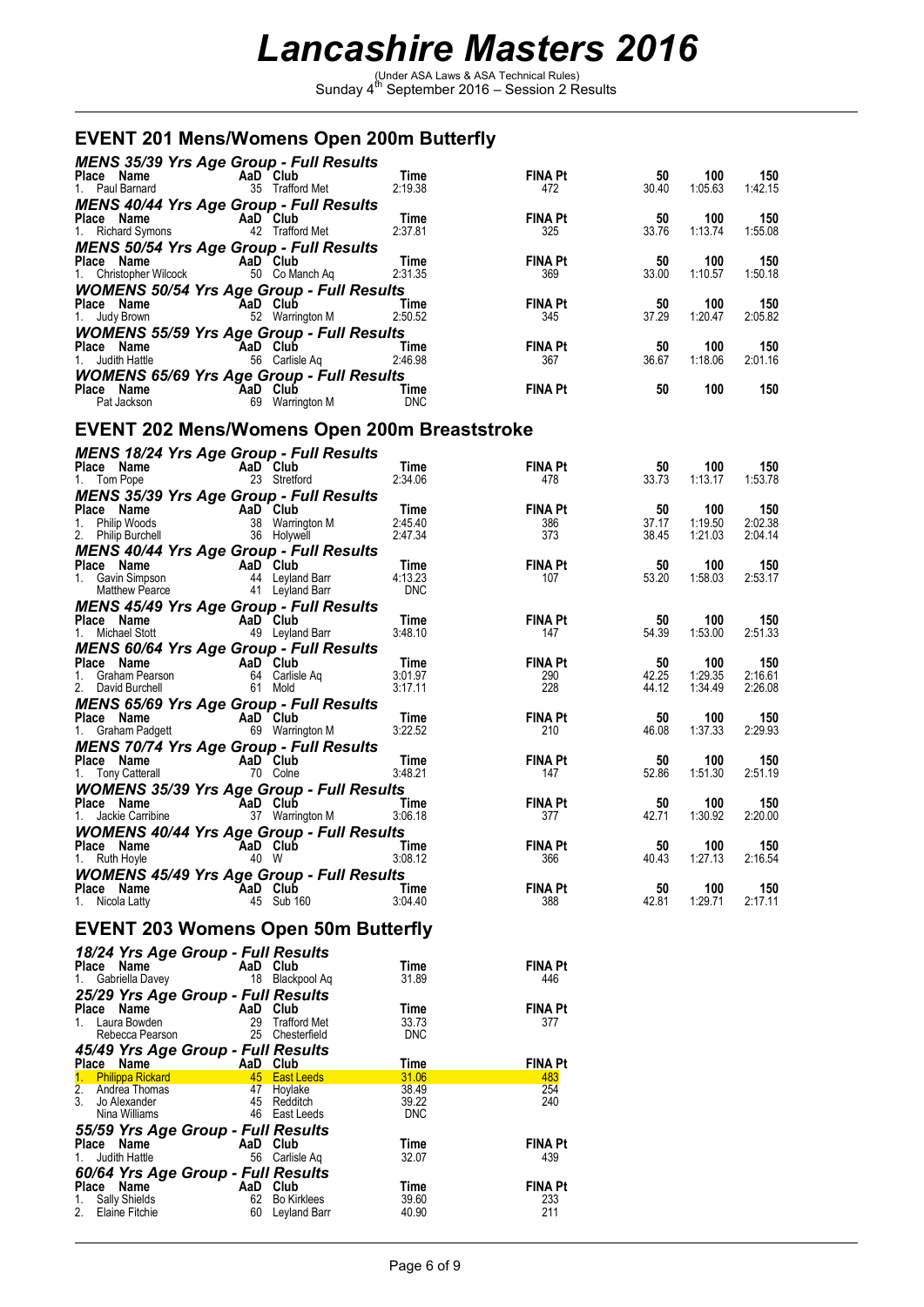(Under ASA Laws & ASA Technical Rules) Sunday 4th September 2016 – Session 2 Results

### **EVENT 201 Mens/Womens Open 200m Butterfly**

| <b>MENS 35/39 Yrs Age Group - Full Results</b><br>Place Name<br>1. Paul Barnard                                                  | AaD Club | 35 Trafford Met                    | Time<br>2:19.38 | FINA Pt<br>472        | 50<br>30.40 | 100<br>1:05.63 | 150<br>1:42.15 |
|----------------------------------------------------------------------------------------------------------------------------------|----------|------------------------------------|-----------------|-----------------------|-------------|----------------|----------------|
| <b>MENS 40/44 Yrs Age Group - Full Results</b><br><b>Place Name</b><br>1. Richard Symons<br>1. Richard Symons<br>12 Trafford Met |          |                                    | Time            | <b>FINA Pt</b>        | 50          | 100            | 150            |
| <b>MENS 50/54 Yrs Age Group - Full Results</b>                                                                                   |          |                                    | 2:37.81         | 325                   | 33.76       | 1:13.74        | 1:55.08        |
| <b>Place Name</b><br>1. Christopher Wilcock 50 Co Manch Aq<br><b>WOMENS 50/54 Yrs Age Group - Full Results</b>                   |          |                                    | Time<br>2:31.35 | <b>FINA Pt</b><br>369 | 50<br>33.00 | 100<br>1:10.57 | 150<br>1:50.18 |
| AaD Club<br>Place Name<br>1. Judy Brown                                                                                          |          | 52 Warrington M                    | Time<br>2:50.52 | <b>FINA Pt</b><br>345 | 50<br>37.29 | 100<br>1:20.47 | 150<br>2:05.82 |
| <b>WOMENS 55/59 Yrs Age Group - Full Results</b><br>Place Name<br>1. Judith Hattle                                               | AaD Club | 56 Carlisle Aq                     | Time<br>2:46.98 | <b>FINA Pt</b><br>367 | 50<br>36.67 | 100<br>1:18.06 | 150<br>2:01.16 |
| <b>WOMENS 65/69 Yrs Age Group - Full Results</b><br>AaD Club<br>69 Warrington M<br>Place Name                                    |          |                                    | Time            | <b>FINA Pt</b>        | 50          | 100            | 150            |
| Pat Jackson<br>EVENT 202 Mens/Womens Open 200m Breaststroke                                                                      |          |                                    | DNC             |                       |             |                |                |
|                                                                                                                                  |          |                                    |                 |                       |             |                |                |
| <b>MENS 18/24 Yrs Age Group - Full Results</b><br>Place Name<br>1. Tom Pope                                                      | AaD Club | 23 Stretford                       | Time<br>2:34.06 | <b>FINA Pt</b><br>478 | 50<br>33.73 | 100<br>1:13.17 | 150<br>1:53.78 |
| <b>MENS 35/39 Yrs Age Group - Full Results</b>                                                                                   |          |                                    |                 |                       |             |                |                |
| AaD Club<br>Place Name                                                                                                           |          |                                    | Time            | <b>FINA Pt</b>        | 50          | 100            | 150            |
|                                                                                                                                  |          | 38 Warrington M<br>36 Holywell     | 2:45.40         | 386                   | 37.17       | 1:19.50        | 2:02.38        |
| 2. Philip Woods<br>2. Philip Burchell<br><i>MENC</i>                                                                             |          |                                    | 2:47.34         | 373                   | 38.45       | 1:21.03        | 2:04.14        |
| <b>MENS 40/44 Yrs Age Group - Full Results</b><br>Place Name                                                                     |          |                                    | Time            | <b>FINA Pt</b>        | 50          | 100            | 150            |
| AaD Club<br>1. Gavin Simpson                                                                                                     |          |                                    | 4:13.23         | 107                   | 53.20       | 1:58.03        | 2:53.17        |
| Matthew Pearce                                                                                                                   |          | 44 Leyland Barr<br>41 Leyland Barr | <b>DNC</b>      |                       |             |                |                |
| <b>MENS 45/49 Yrs Age Group - Full Results</b>                                                                                   |          |                                    |                 |                       |             |                |                |
| Place Name<br>AaD Club                                                                                                           |          |                                    | Time            | <b>FINA Pt</b>        | 50          | 100            | 150            |
| 1. Michael Stott                                                                                                                 |          | 49 Leyland Barr                    | 3:48.10         | 147                   | 54.39       | 1:53.00        | 2:51.33        |
| <b>MENS 60/64 Yrs Age Group - Full Results</b>                                                                                   |          |                                    |                 |                       |             |                |                |
|                                                                                                                                  |          |                                    | Time<br>3:01.97 | <b>FINA Pt</b><br>290 | 50<br>42.25 | 100<br>1:29.35 | 150<br>2:16.61 |
| <b>Place Name Capital AaD Club</b><br>1. Graham Pearson 64 Carlisle Aq<br>2. David Burchell 61 Mold                              |          |                                    | 3:17.11         | 228                   | 44.12       | 1:34.49        | 2:26.08        |
| <b>MENS 65/69 Yrs Age Group - Full Results</b>                                                                                   |          |                                    |                 |                       |             |                |                |
| <b>Place Name</b><br>1. Graham Padgett <b>COM</b><br>69 Warrington M                                                             |          |                                    | Time            | <b>FINA Pt</b>        | 50          | 100            | 150            |
|                                                                                                                                  |          |                                    | 3:22.52         | 210                   | 46.08       | 1:37.33        | 2:29.93        |
| MENS 70/74 Yrs Age Group - Full Results                                                                                          |          |                                    |                 |                       |             |                |                |
| Place Name<br>$\frac{1}{\text{Aap}} \cdot \frac{1}{\text{Aap}} \cdot \frac{1}{\text{Cub}}$<br>1. Tony Catterall                  | 70 Colne |                                    | Time<br>3:48.21 | <b>FINA Pt</b><br>147 | 50<br>52.86 | 100<br>1:51.30 | 150<br>2:51.19 |
| <b>WOMENS 35/39 Yrs Age Group - Full Results</b>                                                                                 |          |                                    |                 |                       |             |                |                |
| Place Name                                                                                                                       |          |                                    | Time            | <b>FINA Pt</b>        | 50          | 100            | 150            |
| 1. Jackie Carribine                                                                                                              |          | AaD Club<br>e 37 Warrington M      | 3:06.18         | 377                   | 42.71       | 1:30.92        | 2:20.00        |
| <b>WOMENS 40/44 Yrs Age Group - Full Results</b>                                                                                 |          |                                    |                 |                       |             |                |                |
| Place Name                                                                                                                       | AaD Club |                                    | <b>Time</b>     | <b>FINA Pt</b>        | $50\,$      | 100            | 150            |
| 1. Ruth Hoyle                                                                                                                    | 40 W     |                                    | 3:08.12         | 366                   | 40.43       | 1:27.13        | 2:16.54        |
| <b>WOMENS 45/49 Yrs Age Group - Full Results</b><br>Place Name                                                                   | AaD Club |                                    | Time            | <b>FINA Pt</b>        | 50          | 100            | 150            |
| 1. Nicola Latty                                                                                                                  |          | 45 Sub 160                         | 3:04.40         | 388                   | 42.81       | 1:29.71        | 2:17.11        |
|                                                                                                                                  |          |                                    |                 |                       |             |                |                |
| <b>EVENT 203 Womens Open 50m Butterfly</b>                                                                                       |          |                                    |                 |                       |             |                |                |
| 18/24 Yrs Age Group - Full Results                                                                                               |          |                                    |                 |                       |             |                |                |
| Place Name                                                                                                                       | AaD Club |                                    | Time            | <b>FINA Pt</b>        |             |                |                |
| 1. Gabriella Davey                                                                                                               |          | 18 Blackpool Aq                    | 31.89           | 446                   |             |                |                |
| 25/29 Yrs Age Group - Full Results                                                                                               |          |                                    |                 |                       |             |                |                |
| Place Name<br>1. Laura Bowden                                                                                                    | AaD Club | 29 Trafford Met                    | Time<br>33.73   | <b>FINA Pt</b><br>377 |             |                |                |
| Rebecca Pearson                                                                                                                  |          | 25 Chesterfield                    | <b>DNC</b>      |                       |             |                |                |
| 45/49 Yrs Age Group - Full Results                                                                                               |          |                                    |                 |                       |             |                |                |
| Place Name                                                                                                                       | AaD Club |                                    | Time            | <b>FINA Pt</b>        |             |                |                |
| 1. Philippa Rickard                                                                                                              |          | 45 East Leeds                      | 31.06           | 483                   |             |                |                |
| 2. Andrea Thomas<br>3.<br>Jo Alexander                                                                                           |          | 47 Hoylake<br>45 Redditch          | 38.49<br>39.22  | 254<br>240            |             |                |                |
| Nina Williams                                                                                                                    |          | 46 East Leeds                      | <b>DNC</b>      |                       |             |                |                |
| 55/59 Yrs Age Group - Full Results                                                                                               |          |                                    |                 |                       |             |                |                |
| Place Name                                                                                                                       | AaD Club |                                    | Time            | <b>FINA Pt</b>        |             |                |                |
| 1. Judith Hattle                                                                                                                 |          | 56 Carlisle Aq                     | 32.07           | 439                   |             |                |                |
| 60/64 Yrs Age Group - Full Results                                                                                               |          |                                    |                 |                       |             |                |                |
| Place Name<br>1. Sally Shields                                                                                                   | AaD Club | 62 Bo Kirklees                     | Time<br>39.60   | <b>FINA Pt</b><br>233 |             |                |                |
| 2. Elaine Fitchie                                                                                                                |          | 60 Leyland Barr                    | 40.90           | 211                   |             |                |                |
|                                                                                                                                  |          |                                    |                 |                       |             |                |                |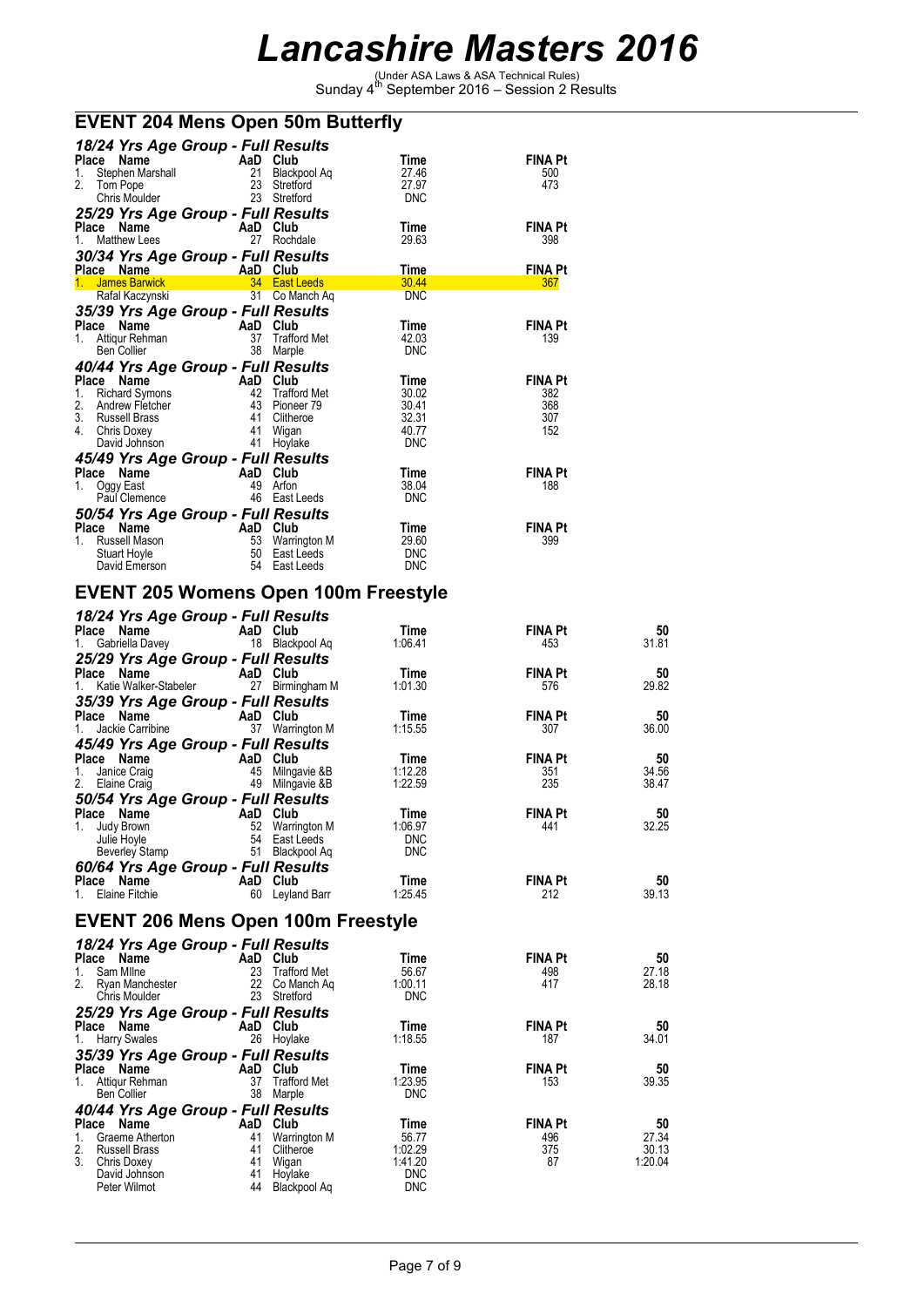(Under ASA Laws & ASA Technical Rules) Sunday 4th September 2016 – Session 2 Results

| <b>EVENT 204 Mens Open 50m Butterfly</b> |  |
|------------------------------------------|--|
|------------------------------------------|--|

| 18/24 Yrs Age Group - Full Results<br><b>Place</b><br>Name<br>Stephen Marshall<br>1.<br>2.<br>Tom Pope<br>Chris Moulder                   | AaD<br>21<br>23<br>23             | Club<br>Blackpool Ag<br>Stretford<br>Stretford                             | Time<br>27.46<br>27.97<br><b>DNC</b>                   | <b>FINA Pt</b><br>500<br>473               |
|-------------------------------------------------------------------------------------------------------------------------------------------|-----------------------------------|----------------------------------------------------------------------------|--------------------------------------------------------|--------------------------------------------|
| 25/29 Yrs Age Group - Full Results<br><b>Place</b><br>Name<br><b>Matthew Lees</b><br>1.<br>30/34 Yrs Age Group - Full Results             | AaD Club<br>27                    | Rochdale                                                                   | Time<br>29.63                                          | <b>FINA Pt</b><br>398                      |
| Name<br>Place                                                                                                                             | AaD                               | Club                                                                       | <b>Time</b>                                            | <b>FINA Pt</b>                             |
| <b>James Barwick</b><br>$1_{-}$<br>Rafal Kaczynski                                                                                        | 34<br>31                          | <b>East Leeds</b><br>Co Manch Ag                                           | 30.44<br><b>DNC</b>                                    | 367                                        |
| 35/39 Yrs Age Group - Full Results                                                                                                        |                                   |                                                                            |                                                        |                                            |
| Place<br>Name<br>Attigur Rehman<br>1.<br>Ben Collier                                                                                      | AaD<br>37<br>38                   | Club<br><b>Trafford Met</b><br>Marple                                      | Time<br>42.03<br><b>DNC</b>                            | <b>FINA Pt</b><br>139                      |
| 40/44 Yrs Age Group - Full Results                                                                                                        |                                   |                                                                            |                                                        |                                            |
| Place<br>Name<br><b>Richard Symons</b><br>1.<br>2.<br>Andrew Fletcher<br>3.<br><b>Russell Brass</b><br>4.<br>Chris Doxey<br>David Johnson | AaD<br>42<br>43<br>41<br>41<br>41 | Club<br><b>Trafford Met</b><br>Pioneer 79<br>Clitheroe<br>Wigan<br>Hoylake | Time<br>30.02<br>30.41<br>32.31<br>40.77<br><b>DNC</b> | <b>FINA Pt</b><br>382<br>368<br>307<br>152 |
| 45/49 Yrs Age Group - Full Results                                                                                                        |                                   |                                                                            |                                                        |                                            |
| Place<br>Name<br>Oggy East<br>1.<br>Paul Clemence                                                                                         | AaD Club<br>49<br>46              | Arfon<br>East Leeds                                                        | Time<br>38.04<br><b>DNC</b>                            | <b>FINA Pt</b><br>188                      |
| 50/54 Yrs Age Group - Full Results                                                                                                        |                                   |                                                                            |                                                        |                                            |
| Name<br><b>Place</b><br>Russell Mason<br>1.<br><b>Stuart Hoyle</b><br>David Emerson                                                       | AaD<br>53<br>50<br>54             | Club<br><b>Warrington M</b><br>East Leeds<br>East Leeds                    | Time<br>29.60<br><b>DNC</b><br><b>DNC</b>              | <b>FINA Pt</b><br>399                      |

#### **EVENT 205 Womens Open 100m Freestyle**

|                                  | 18/24 Yrs Age Group - Full Results             |                       |                |                |
|----------------------------------|------------------------------------------------|-----------------------|----------------|----------------|
| Place Name                       | AaD Club                                       | Time                  | <b>FINA Pt</b> | 50             |
| 1.<br>Gabriella Davey            | 18 Blackpool Aq                                | 1:06.41               | 453            | 31.81          |
|                                  | 25/29 Yrs Age Group - Full Results             |                       |                |                |
| Place Name                       | AaD Club                                       | Time                  | <b>FINA Pt</b> | 50             |
| 1. Katie Walker-Stabeler         | 27 Birmingham M                                | 1:01.30               | 576            | 29.82          |
|                                  | 35/39 Yrs Age Group - Full Results             |                       |                |                |
| Place Name                       | AaD Club                                       | Time                  | FINA Pt        | 50             |
| 1.<br>Jackie Carribine           | 37 Warrington M                                | 1:15.55               | 307            | 36.00          |
|                                  | 45/49 Yrs Age Group - Full Results             |                       |                |                |
| Place Name                       | AaD Club                                       | Time                  | <b>FINA Pt</b> | 50             |
| 1.<br>Janice Craig               | 45 Milngavie &B                                | 1:12.28               | 351            | 34.56          |
| 2.<br>Elaine Craig               | 49<br>Milngavie &B                             | 1:22.59               | 235            | 38.47          |
|                                  |                                                |                       |                |                |
| Place Name                       | 50/54 Yrs Age Group - Full Results             |                       |                |                |
| 1.                               | AaD Club                                       | Time<br>1:06.97       | <b>FINA Pt</b> | 50<br>32.25    |
| Judy Brown<br>Julie Hoyle        | 52 Warrington M<br>54 East Leeds               | <b>DNC</b>            | 441            |                |
|                                  |                                                | <b>DNC</b>            |                |                |
| Beverley Stamp                   | 51 Blackpool Aq                                |                       |                |                |
|                                  | 60/64 Yrs Age Group - Full Results             |                       |                |                |
| Place Name                       | AaD Club                                       | Time                  | <b>FINA Pt</b> | 50             |
| 1. Elaine Fitchie                | 60<br>Leyland Barr                             | 1:25.45               | 212            | 39.13          |
|                                  |                                                |                       |                |                |
|                                  | <b>EVENT 206 Mens Open 100m Freestyle</b>      |                       |                |                |
|                                  |                                                |                       |                |                |
| Place Name                       | 18/24 Yrs Age Group - Full Results             | Time                  | <b>FINA Pt</b> | 50             |
| 1.<br>Sam Milne                  | 23 Trafford Met                                | 56.67                 | 498            | 27.18          |
| Ryan Manchester                  | AaD Club<br>23 Traffor<br>22 Co Manch Aq       | 1:00.11               | 417            | 28.18          |
| Chris Moulder                    | 23 Stretford                                   | <b>DNC</b>            |                |                |
|                                  |                                                |                       |                |                |
| Place Name                       | 25/29 Yrs Age Group - Full Results<br>AaD Club | Time                  | <b>FINA Pt</b> | 50             |
| 1.                               |                                                | 1:18.55               | 187            | 34.01          |
| <b>Harry Swales</b>              | 26 Hoylake                                     |                       |                |                |
|                                  | 35/39 Yrs Age Group - Full Results             |                       |                |                |
| Place Name                       | AaD Club                                       | Time                  | <b>FINA Pt</b> | 50             |
| 1. Attigur Rehman<br>Ben Collier | 37 Trafford Met<br>38 Marple                   | 1:23.95<br><b>DNC</b> | 153            | 39.35          |
|                                  |                                                |                       |                |                |
|                                  | 40/44 Yrs Age Group - Full Results             |                       |                |                |
| Place Name                       | AaD Club                                       | Time                  | <b>FINA Pt</b> | 50             |
| 1. Graeme Atherton               | 41 Warrington M<br>41                          | 56.77                 | 496            | 27.34<br>30.13 |
| 2.<br>Russell Brass<br>3.        | Clitheroe                                      | 1:02.29<br>1:41.20    | 375<br>87      | 1:20.04        |
| Chris Doxey<br>David Johnson     | 41 Wigan<br>41<br>Hoylake                      | <b>DNC</b>            |                |                |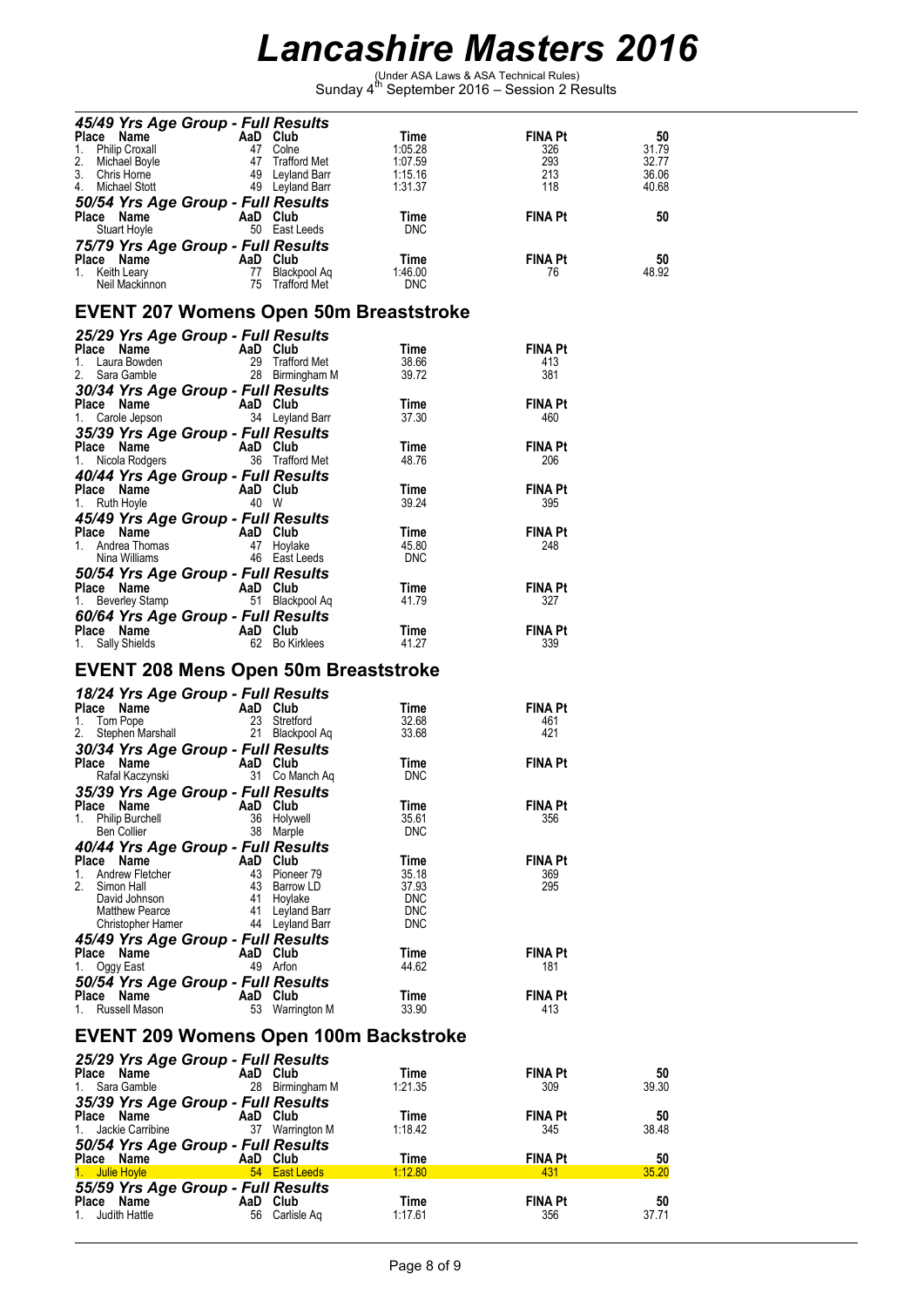(Under ASA Laws & ASA Technical Rules) Sunday 4th September 2016 – Session 2 Results

| 45/49 Yrs Age Group - Full Results                                                                                                                                                                               |          |                               |                          |                       |                |
|------------------------------------------------------------------------------------------------------------------------------------------------------------------------------------------------------------------|----------|-------------------------------|--------------------------|-----------------------|----------------|
| Place Name<br>1. Philip Croxall<br>2. Michael Boyle<br>3. Chris Horne<br>4. Michael Stott<br>4. Michael Stott<br>4. Michael Stott<br>4. Michael Stott<br>4. Philip Croxall<br>4. Leyland Barr<br>4. Leyland Barr |          |                               | Time                     | FINA Pt               | 50             |
|                                                                                                                                                                                                                  |          |                               | 1:05.28                  | 326                   | 31.79          |
|                                                                                                                                                                                                                  |          |                               | 1:07.59<br>1:15.16       | 293<br>213            | 32.77<br>36.06 |
|                                                                                                                                                                                                                  |          |                               | 1:31.37                  | 118 — 118             | 40.68          |
| 50/54 Yrs Age Group - Full Results                                                                                                                                                                               |          |                               |                          |                       |                |
| <b>Place Name AaD Club</b><br>Stuart Hoyle <b>AaD Club</b>                                                                                                                                                       |          |                               | Time                     | FINA Pt               | 50             |
| Stuart Hoyle                                                                                                                                                                                                     |          | 50 East Leeds                 | <b>DNC</b>               |                       |                |
| 75/79 Yrs Age Group - Full Results                                                                                                                                                                               |          |                               |                          |                       |                |
|                                                                                                                                                                                                                  |          |                               | Time<br>1:46.00          | <b>FINA Pt</b><br>76  | 50<br>48.92    |
| <b>Place Name Care And Club</b><br>1. Keith Leary <b>Care And Transform Medi Mackinnon</b> 75 Trafford Met                                                                                                       |          |                               | <b>DNC</b>               |                       |                |
|                                                                                                                                                                                                                  |          |                               |                          |                       |                |
| <b>EVENT 207 Womens Open 50m Breaststroke</b>                                                                                                                                                                    |          |                               |                          |                       |                |
| 25/29 Yrs Age Group - Full Results                                                                                                                                                                               |          |                               |                          |                       |                |
|                                                                                                                                                                                                                  |          |                               | Time                     | <b>FINA Pt</b>        |                |
| <b>Place Name AaD Club</b><br>1. Laura Bowden<br>2. Sara Gamble<br>28 Birmingham M                                                                                                                               |          |                               | 38.66                    | 413                   |                |
|                                                                                                                                                                                                                  |          |                               | 39.72                    | 381                   |                |
| 30/34 Yrs Age Group - Full Results                                                                                                                                                                               |          |                               | Time                     | <b>FINA Pt</b>        |                |
| <b>Place Name</b><br>1. Carole Jepson <b>Carole A</b> 24 Leylar                                                                                                                                                  |          | 34 Leyland Barr               | 37.30                    | 460                   |                |
| 35/39 Yrs Age Group - Full Results                                                                                                                                                                               |          |                               |                          |                       |                |
|                                                                                                                                                                                                                  |          |                               | Time                     | <b>FINA Pt</b>        |                |
| <b>Place Name</b><br>1. Nicola Rodgers<br>1. Nicola Rodgers<br>1. So Trafford Met                                                                                                                                |          |                               | 48.76                    | 206                   |                |
| 40/44 Yrs Age Group - Full Results                                                                                                                                                                               |          |                               |                          |                       |                |
| Place Name AaD Club<br>1. Ruth Hoyle 40 W                                                                                                                                                                        |          |                               | Time                     | <b>FINA Pt</b>        |                |
|                                                                                                                                                                                                                  |          |                               | 39.24                    | 395                   |                |
| 45/49 Yrs Age Group - Full Results                                                                                                                                                                               |          |                               |                          |                       |                |
|                                                                                                                                                                                                                  |          |                               | Time<br>45.80            | <b>FINA Pt</b><br>248 |                |
| <b>Place Name AaD Club</b><br>1. Andrea Thomas 47 Hoylake<br>Nina Williams 46 East Leeds                                                                                                                         |          |                               | <b>DNC</b>               |                       |                |
| 50/54 Yrs Age Group - Full Results                                                                                                                                                                               |          |                               |                          |                       |                |
|                                                                                                                                                                                                                  |          |                               | Time                     | <b>FINA Pt</b>        |                |
| <b>Place Name</b><br>1. Beverley Stamp<br>1. Beverley Stamp<br>1. Beverley Stamp                                                                                                                                 |          |                               | 41.79                    | 327                   |                |
| 60/64 Yrs Age Group - Full Results                                                                                                                                                                               |          |                               |                          |                       |                |
| Place Name<br>1. Sally Shields 62 Bo Kirklees                                                                                                                                                                    |          |                               | Time                     | <b>FINA Pt</b>        |                |
|                                                                                                                                                                                                                  |          |                               | 41.27                    | 339                   |                |
| <b>EVENT 208 Mens Open 50m Breaststroke</b>                                                                                                                                                                      |          |                               |                          |                       |                |
|                                                                                                                                                                                                                  |          |                               |                          |                       |                |
| 18/24 Yrs Age Group - Full Results                                                                                                                                                                               |          |                               |                          | <b>FINA Pt</b>        |                |
| <b>Place Name Care AaD Club</b><br>1. Tom Pope 23 Stretform 2. Stephen Marshall 21 Black                                                                                                                         |          | 23 Stretford                  | Time<br>32.68            | 461                   |                |
|                                                                                                                                                                                                                  |          | 21 Blackpool Aq               | 33.68                    | 421                   |                |
| 30/34 Yrs Age Group - Full Results                                                                                                                                                                               |          |                               |                          |                       |                |
| Place Name<br><b>Ce Name</b><br><b>Rafal Kaczynski Co Manch Aq</b>                                                                                                                                               |          |                               | Time                     | <b>FINA Pt</b>        |                |
|                                                                                                                                                                                                                  |          |                               | <b>DNC</b>               |                       |                |
| 35/39 Yrs Age Group - Full Results                                                                                                                                                                               |          |                               |                          |                       |                |
| Place Name AaD Club<br>1. Philip Burchell                                                                                                                                                                        |          | 36 Holywell                   | Time<br>35.61            | <b>FINA Pt</b><br>356 |                |
| Ben Collier                                                                                                                                                                                                      |          | 38 Marple                     | <b>DNC</b>               |                       |                |
| 40/44 Yrs Age Group - Full Results                                                                                                                                                                               |          |                               |                          |                       |                |
| Place Name                                                                                                                                                                                                       | AaD Club |                               | Time                     | FINA Pt               |                |
| 1.<br>Andrew Fletcher                                                                                                                                                                                            |          | 43 Pioneer 79                 | 35.18                    | 369                   |                |
| 2.<br>Simon Hall<br>David Johnson                                                                                                                                                                                |          | 43 Barrow LD                  | 37.93                    | 295                   |                |
| <b>Matthew Pearce</b>                                                                                                                                                                                            |          | 41 Hoylake<br>41 Leyland Barr | <b>DNC</b><br><b>DNC</b> |                       |                |
| Christopher Hamer                                                                                                                                                                                                |          | 44 Leyland Barr               | <b>DNC</b>               |                       |                |
| 45/49 Yrs Age Group - Full Results                                                                                                                                                                               |          |                               |                          |                       |                |
| Place Name                                                                                                                                                                                                       | AaD Club |                               | Time                     | FINA Pt               |                |
| 1.<br>Oggy East                                                                                                                                                                                                  |          | 49 Arfon                      | 44.62                    | 181                   |                |
| 50/54 Yrs Age Group - Full Results                                                                                                                                                                               |          |                               |                          |                       |                |
| Place Name<br>1. Russell Mason                                                                                                                                                                                   | AaD Club | 53 Warrington M               | Time<br>33.90            | <b>FINA Pt</b><br>413 |                |
|                                                                                                                                                                                                                  |          |                               |                          |                       |                |
| <b>EVENT 209 Womens Open 100m Backstroke</b>                                                                                                                                                                     |          |                               |                          |                       |                |
| 25/29 Yrs Age Group - Full Results                                                                                                                                                                               |          |                               |                          |                       |                |
| Place Name                                                                                                                                                                                                       | AaD Club |                               | Time                     | FINA Pt               | 50             |
| Sara Gamble<br>1.                                                                                                                                                                                                |          | 28 Birmingham M               | 1:21.35                  | 309                   | 39.30          |
| 35/39 Yrs Age Group - Full Results                                                                                                                                                                               |          |                               |                          |                       |                |
| Place Name                                                                                                                                                                                                       | AaD Club |                               | Time                     | FINA Pt               | 50             |
| Jackie Carribine<br>1.                                                                                                                                                                                           |          | 37 Warrington M               | 1:18.42                  | 345                   | 38.48          |
| 50/54 Yrs Age Group - Full Results                                                                                                                                                                               |          |                               |                          |                       |                |
| Place Name<br>1. Julie Hoyle                                                                                                                                                                                     | AaD Club | 54 East Leeds                 | Time<br>1:12.80          | <b>FINA Pt</b><br>431 | 50<br>35.20    |
| 55/59 Yrs Age Group - Full Results                                                                                                                                                                               |          |                               |                          |                       |                |
| Place Name                                                                                                                                                                                                       | AaD Club |                               | Time                     | <b>FINA Pt</b>        | 50             |
| 1.<br>Judith Hattle                                                                                                                                                                                              |          | 56 Carlisle Aq                | 1:17.61                  | 356                   | 37.71          |
|                                                                                                                                                                                                                  |          |                               |                          |                       |                |